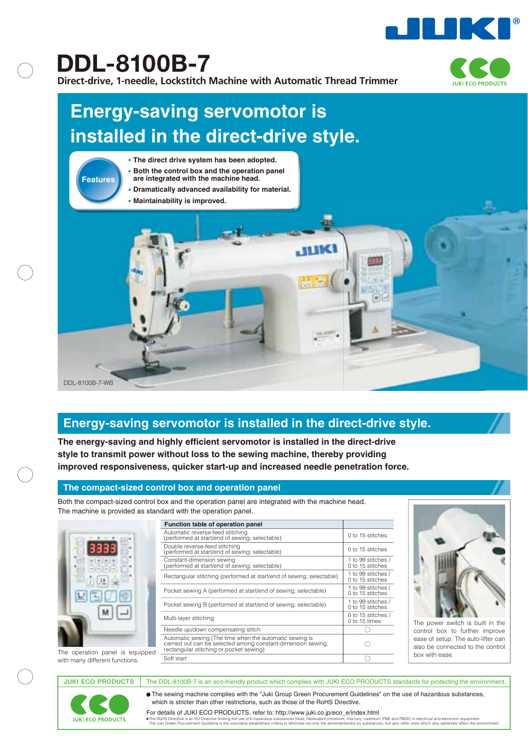

**DDL-8100B-7**

**Direct-drive, 1-needle, Lockstitch Machine with Automatic Thread Trimmer**



# **Energy-saving servomotor is installed in the direct-drive style.**



# **Energy-saving servomotor is installed in the direct-drive style.**

**The energy-saving and highly efficient servomotor is installed in the direct-drive style to transmit power without loss to the sewing machine, thereby providing improved responsiveness, quicker start-up and increased needle penetration force.**

# **The compact-sized control box and operation panel**

Both the compact-sized control box and the operation panel are integrated with the machine head. The machine is provided as standard with the operation panel.



|                                 | Function table of operation panel                                                                                                                                  |                                        |                                 |  |  |
|---------------------------------|--------------------------------------------------------------------------------------------------------------------------------------------------------------------|----------------------------------------|---------------------------------|--|--|
|                                 | Automatic reverse-feed stitching<br>(performed at start/end of sewing; selectable)                                                                                 | 0 to 15 stitches                       |                                 |  |  |
|                                 | Double reverse-feed stitching<br>(performed at start/end of sewing; selectable)                                                                                    | 0 to 15 stitches                       |                                 |  |  |
|                                 | Constant-dimension sewing<br>(performed at start/end of sewing; selectable)                                                                                        | 1 to 99 stitches /<br>0 to 15 stitches |                                 |  |  |
|                                 | Rectangular stitching (performed at start/end of sewing; selectable)                                                                                               | 1 to 99 stitches /<br>0 to 15 stitches |                                 |  |  |
|                                 | Pocket sewing A (performed at start/end of sewing; selectable)                                                                                                     | 1 to 99 stitches /<br>0 to 15 stitches |                                 |  |  |
|                                 | Pocket sewing B (performed at start/end of sewing; selectable)                                                                                                     | to 99 stitches /<br>0 to 15 stitches   |                                 |  |  |
|                                 | 0 to 15 stitches /<br>Multi-layer stitching<br>0 to 15 times                                                                                                       |                                        | The power sw                    |  |  |
|                                 | Needle up/down compensating stitch                                                                                                                                 |                                        | control box t                   |  |  |
| The operation panel is equipped | Automatic sewing (The time when the automatic sewing is<br>carried out can be selected among constant-dimension sewing,<br>rectangular stitching or pocket sewing) |                                        | ease of setup.<br>also be conne |  |  |
| with many different functions   | Soft start                                                                                                                                                         |                                        | box with ease.                  |  |  |



The power switch is built in the control box to further improve ease of setup. The auto-lifter can also be connected to the control

with many different functions.

**JUKI ECO PRODUCTS** 

JUKI ECO PRODUCTS The DDL-8100B-7 is an eco-friendly product which complies with JUKI ECO PRODUCTS standards for protecting the environment.

The sewing machine complies with the "Juki Group Green Procurement Guidelines" on the use of hazardous substances, which is stricter than other restrictions, such as those of the RoHS Directive.

The RoHS Directive is an EU Directive limiting the use of 6 hazardous substances (lead, hexavelent chronium, mercury, cadmium, PBB and PBDE) in electrical and electronic equipment. The Juli 2011 of the environment of the e For details of JUKI ECO PRODUCTS, refer to: http://www.juki.co.jp/eco\_e/index.html